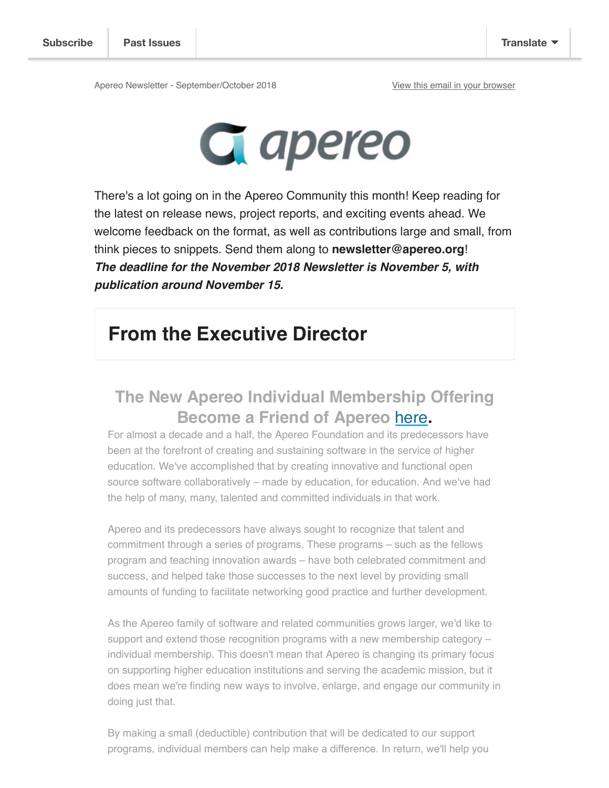Apereo Newsletter - September/October 2018 View this email in your browser



There's a lot going on in the Apereo Community this month! Keep reading for the latest on release news, project reports, and exciting events ahead. We welcome feedback on the format, as well as contributions large and small, from think pieces to snippets. Send them along to **newsletter@apereo.org**! **The deadline for the November 2018 Newsletter is November 5, with publication around November 15.** 

## **From the Executive Director**

### **The New Apereo Individual Membership Offering Become a Friend of Apereo** here**.**

For almost a decade and a half, the Apereo Foundation and its predecessors have been at the forefront of creating and sustaining software in the service of higher education. We've accomplished that by creating innovative and functional open source software collaboratively – made by education, for education. And we've had the help of many, many, talented and committed individuals in that work.

Apereo and its predecessors have always sought to recognize that talent and commitment through a series of programs. These programs – such as the fellows program and teaching innovation awards – have both celebrated commitment and success, and helped take those successes to the next level by providing small amounts of funding to facilitate networking good practice and further development.

As the Apereo family of software and related communities grows larger, we'd like to support and extend those recognition programs with a new membership category – individual membership. This doesn't mean that Apereo is changing its primary focus on supporting higher education institutions and serving the academic mission, but it does mean we're finding new ways to involve, enlarge, and engage our community in doing just that.

By making a small (deductible) contribution that will be dedicated to our support programs, individual members can help make a difference. In return, we'll help you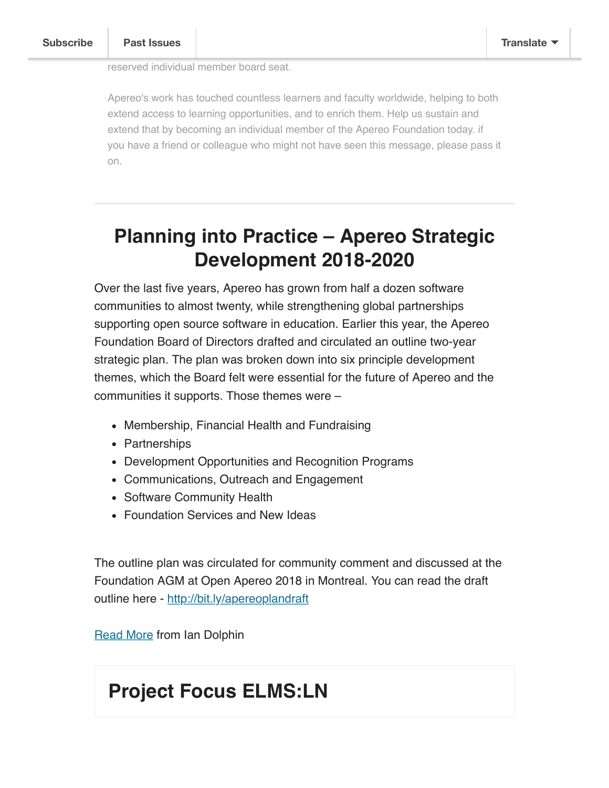reserved individual member board seat.

Apereo's work has touched countless learners and faculty worldwide, helping to both extend access to learning opportunities, and to enrich them. Help us sustain and extend that by becoming an individual member of the Apereo Foundation today. if you have a friend or colleague who might not have seen this message, please pass it on.

# **Planning into Practice – Apereo Strategic Development 2018-2020**

Over the last five years, Apereo has grown from half a dozen software communities to almost twenty, while strengthening global partnerships supporting open source software in education. Earlier this year, the Apereo Foundation Board of Directors drafted and circulated an outline two-year strategic plan. The plan was broken down into six principle development themes, which the Board felt were essential for the future of Apereo and the communities it supports. Those themes were –

- Membership, Financial Health and Fundraising
- Partnerships
- Development Opportunities and Recognition Programs
- Communications, Outreach and Engagement
- Software Community Health
- Foundation Services and New Ideas

The outline plan was circulated for community comment and discussed at the Foundation AGM at Open Apereo 2018 in Montreal. You can read the draft outline here - http://bit.ly/apereoplandraft

Read More from Ian Dolphin

## **Project Focus ELMS:LN**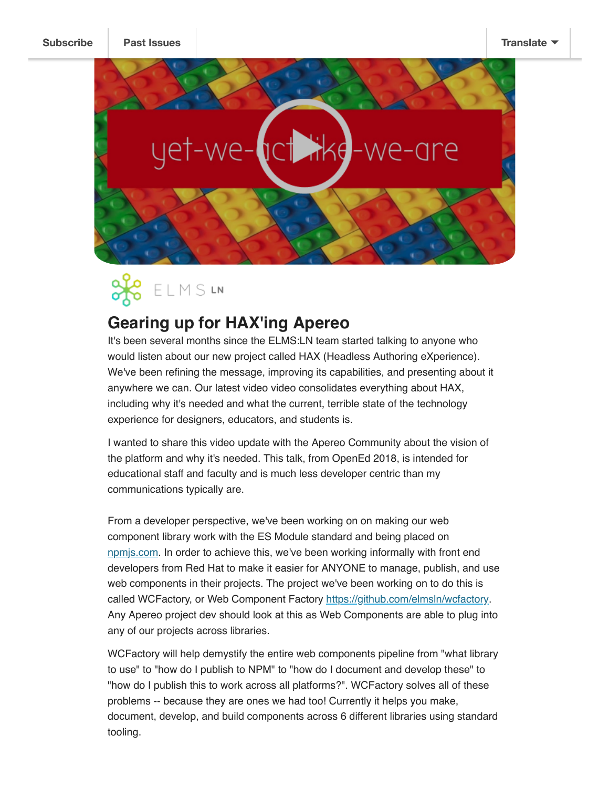



### **Gearing up for HAX'ing Apereo**

It's been several months since the ELMS:LN team started talking to anyone who would listen about our new project called HAX (Headless Authoring eXperience). We've been refining the message, improving its capabilities, and presenting about it anywhere we can. Our latest video video consolidates everything about HAX, including why it's needed and what the current, terrible state of the technology experience for designers, educators, and students is.

I wanted to share this video update with the Apereo Community about the vision of the platform and why it's needed. This talk, from OpenEd 2018, is intended for educational staff and faculty and is much less developer centric than my communications typically are.

From a developer perspective, we've been working on on making our web component library work with the ES Module standard and being placed on npmjs.com. In order to achieve this, we've been working informally with front end developers from Red Hat to make it easier for ANYONE to manage, publish, and use web components in their projects. The project we've been working on to do this is called WCFactory, or Web Component Factory https://github.com/elmsln/wcfactory. Any Apereo project dev should look at this as Web Components are able to plug into any of our projects across libraries.

WCFactory will help demystify the entire web components pipeline from "what library to use" to "how do I publish to NPM" to "how do I document and develop these" to "how do I publish this to work across all platforms?". WCFactory solves all of these problems -- because they are ones we had too! Currently it helps you make, document, develop, and build components across 6 different libraries using standard tooling.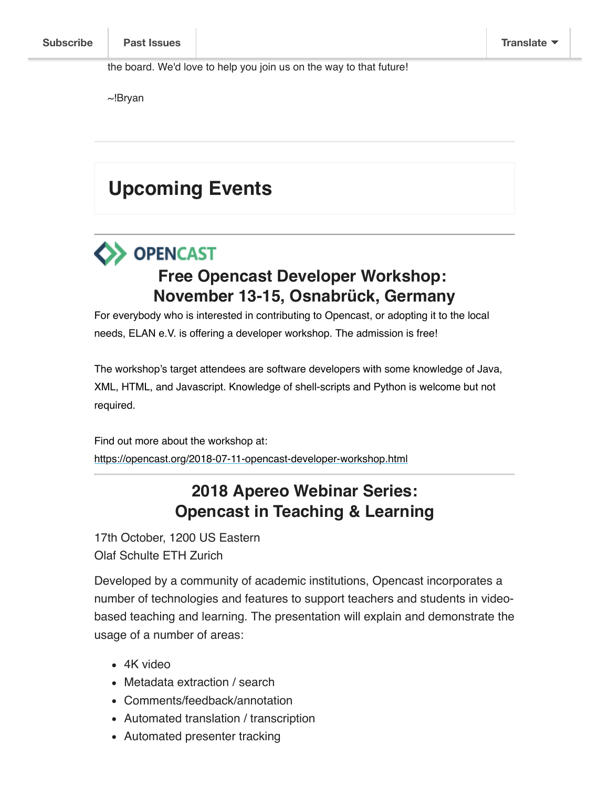~!Bryan

# **Upcoming Events**

# **OPENCAST Free Opencast Developer Workshop: November 13-15, Osnabrück, Germany**

For everybody who is interested in contributing to Opencast, or adopting it to the local needs, ELAN e.V. is offering a developer workshop. The admission is free!

The workshop's target attendees are software developers with some knowledge of Java, XML, HTML, and Javascript. Knowledge of shell-scripts and Python is welcome but not required.

Find out more about the workshop at: https://opencast.org/2018-07-11-opencast-developer-workshop.html

### **2018 Apereo Webinar Series: Opencast in Teaching & Learning**

17th October, 1200 US Eastern Olaf Schulte ETH Zurich

Developed by a community of academic institutions, Opencast incorporates a number of technologies and features to support teachers and students in videobased teaching and learning. The presentation will explain and demonstrate the usage of a number of areas:

- 4K video
- Metadata extraction / search
- Comments/feedback/annotation
- Automated translation / transcription
- Automated presenter tracking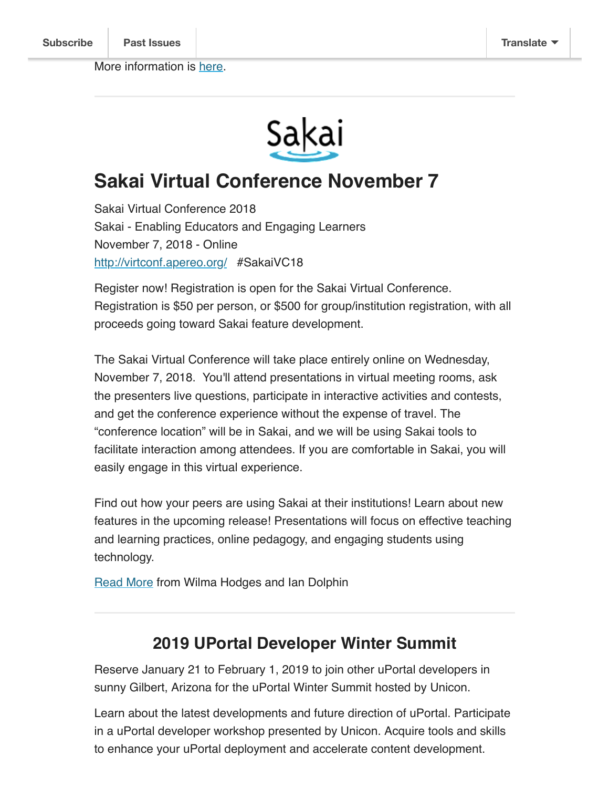

## **Sakai Virtual Conference November 7**

Sakai Virtual Conference 2018 Sakai - Enabling Educators and Engaging Learners November 7, 2018 - Online http://virtconf.apereo.org/ #SakaiVC18

Register now! Registration is open for the Sakai Virtual Conference. Registration is \$50 per person, or \$500 for group/institution registration, with all proceeds going toward Sakai feature development.

The Sakai Virtual Conference will take place entirely online on Wednesday, November 7, 2018. You'll attend presentations in virtual meeting rooms, ask the presenters live questions, participate in interactive activities and contests, and get the conference experience without the expense of travel. The "conference location" will be in Sakai, and we will be using Sakai tools to facilitate interaction among attendees. If you are comfortable in Sakai, you will easily engage in this virtual experience.

Find out how your peers are using Sakai at their institutions! Learn about new features in the upcoming release! Presentations will focus on effective teaching and learning practices, online pedagogy, and engaging students using technology.

Read More from Wilma Hodges and Ian Dolphin

#### **2019 UPortal Developer Winter Summit**

Reserve January 21 to February 1, 2019 to join other uPortal developers in sunny Gilbert, Arizona for the uPortal Winter Summit hosted by Unicon.

Learn about the latest developments and future direction of uPortal. Participate in a uPortal developer workshop presented by Unicon. Acquire tools and skills to enhance your uPortal deployment and accelerate content development.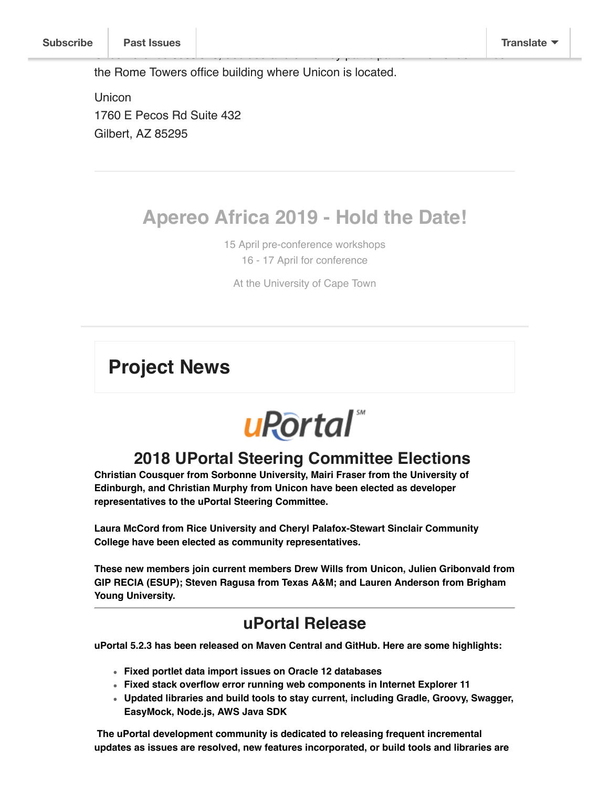the Rome Towers office building where Unicon is located.

**Unicon** 1760 E Pecos Rd Suite 432 Gilbert, AZ 85295

## **Apereo Africa 2019 - Hold the Date!**

Unconference sessions, decided and driven by participants. The venue will be

15 April pre-conference workshops 16 - 17 April for conference

At the University of Cape Town

#### **Project News**



#### **2018 UPortal Steering Committee Elections**

**Christian Cousquer from Sorbonne University, Mairi Fraser from the University of Edinburgh, and Christian Murphy from Unicon have been elected as developer representatives to the uPortal Steering Committee.**

**Laura McCord from Rice University and Cheryl Palafox-Stewart Sinclair Community College have been elected as community representatives.**

**These new members join current members Drew Wills from Unicon, Julien Gribonvald from GIP RECIA (ESUP); Steven Ragusa from Texas A&M; and Lauren Anderson from Brigham Young University.**

#### **uPortal Release**

**uPortal 5.2.3 has been released on Maven Central and GitHub. Here are some highlights:**

- **Fixed portlet data import issues on Oracle 12 databases**
- **Fixed stack overflow error running web components in Internet Explorer 11**
- **Updated libraries and build tools to stay current, including Gradle, Groovy, Swagger, EasyMock, Node.js, AWS Java SDK**

 **The uPortal development community is dedicated to releasing frequent incremental updates as issues are resolved, new features incorporated, or build tools and libraries are**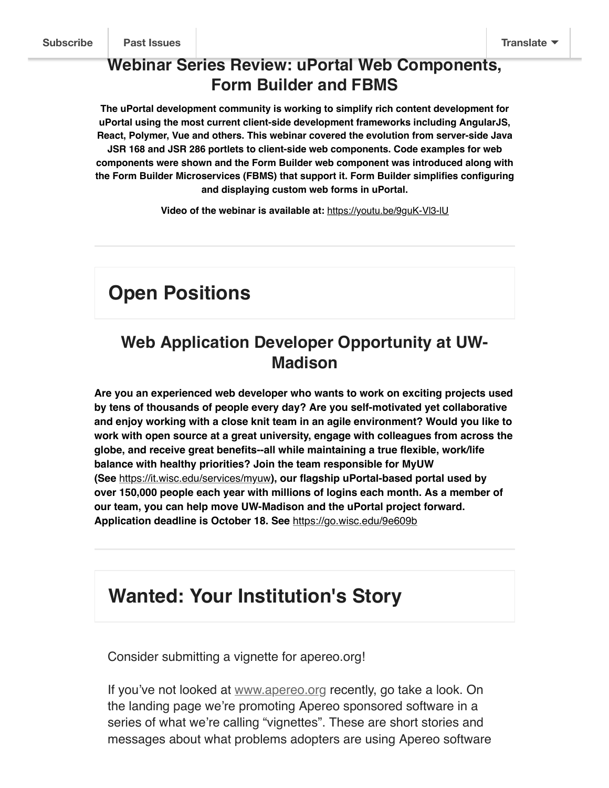#### **Webinar Series Review: uPortal Web Components, Form Builder and FBMS**

**The uPortal development community is working to simplify rich content development for uPortal using the most current client-side development frameworks including AngularJS, React, Polymer, Vue and others. This webinar covered the evolution from server-side Java JSR 168 and JSR 286 portlets to client-side web components. Code examples for web components were shown and the Form Builder web component was introduced along with the Form Builder Microservices (FBMS) that support it. Form Builder simplifies configuring and displaying custom web forms in uPortal.**

**Video of the webinar is available at:** https://youtu.be/9guK-Vl3-lU

# **Open Positions**

#### **Web Application Developer Opportunity at UW-Madison**

**Are you an experienced web developer who wants to work on exciting projects used by tens of thousands of people every day? Are you self-motivated yet collaborative and enjoy working with a close knit team in an agile environment? Would you like to work with open source at a great university, engage with colleagues from across the globe, and receive great benefits--all while maintaining a true flexible, work/life balance with healthy priorities? Join the team responsible for MyUW (See** https://it.wisc.edu/services/myuw**), our flagship uPortal-based portal used by over 150,000 people each year with millions of logins each month. As a member of our team, you can help move UW-Madison and the uPortal project forward. Application deadline is October 18. See** https://go.wisc.edu/9e609b

## **Wanted: Your Institution's Story**

Consider submitting a vignette for apereo.org!

If you've not looked at www.apereo.org recently, go take a look. On the landing page we're promoting Apereo sponsored software in a series of what we're calling "vignettes". These are short stories and messages about what problems adopters are using Apereo software